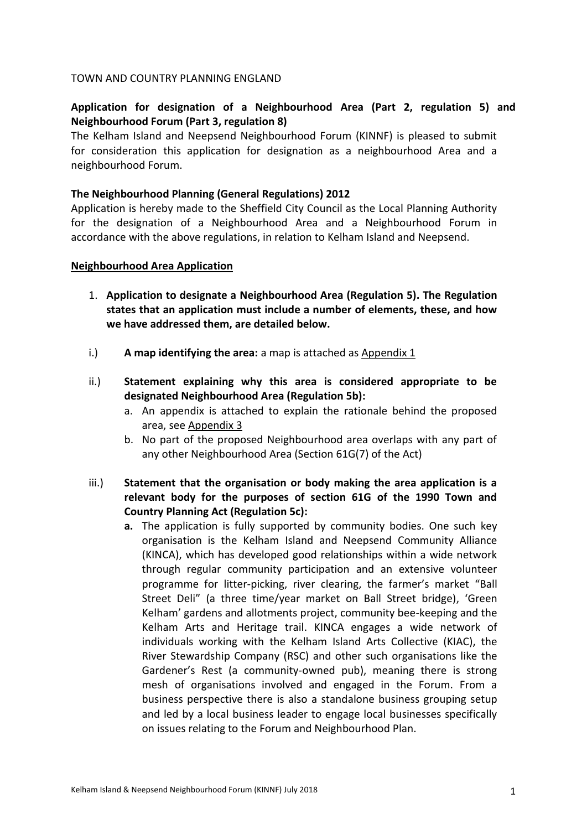## TOWN AND COUNTRY PLANNING ENGLAND

## **Application for designation of a Neighbourhood Area (Part 2, regulation 5) and Neighbourhood Forum (Part 3, regulation 8)**

The Kelham Island and Neepsend Neighbourhood Forum (KINNF) is pleased to submit for consideration this application for designation as a neighbourhood Area and a neighbourhood Forum.

## **The Neighbourhood Planning (General Regulations) 2012**

Application is hereby made to the Sheffield City Council as the Local Planning Authority for the designation of a Neighbourhood Area and a Neighbourhood Forum in accordance with the above regulations, in relation to Kelham Island and Neepsend.

#### **Neighbourhood Area Application**

- 1. **Application to designate a Neighbourhood Area (Regulation 5). The Regulation states that an application must include a number of elements, these, and how we have addressed them, are detailed below.**
- i.) **A map identifying the area:** a map is attached as Appendix 1
- ii.) **Statement explaining why this area is considered appropriate to be designated Neighbourhood Area (Regulation 5b):**
	- a. An appendix is attached to explain the rationale behind the proposed area, see Appendix 3
	- b. No part of the proposed Neighbourhood area overlaps with any part of any other Neighbourhood Area (Section 61G(7) of the Act)
- iii.) **Statement that the organisation or body making the area application is a relevant body for the purposes of section 61G of the 1990 Town and Country Planning Act (Regulation 5c):**
	- **a.** The application is fully supported by community bodies. One such key organisation is the Kelham Island and Neepsend Community Alliance (KINCA), which has developed good relationships within a wide network through regular community participation and an extensive volunteer programme for litter-picking, river clearing, the farmer's market "Ball Street Deli" (a three time/year market on Ball Street bridge), 'Green Kelham' gardens and allotments project, community bee-keeping and the Kelham Arts and Heritage trail. KINCA engages a wide network of individuals working with the Kelham Island Arts Collective (KIAC), the River Stewardship Company (RSC) and other such organisations like the Gardener's Rest (a community-owned pub), meaning there is strong mesh of organisations involved and engaged in the Forum. From a business perspective there is also a standalone business grouping setup and led by a local business leader to engage local businesses specifically on issues relating to the Forum and Neighbourhood Plan.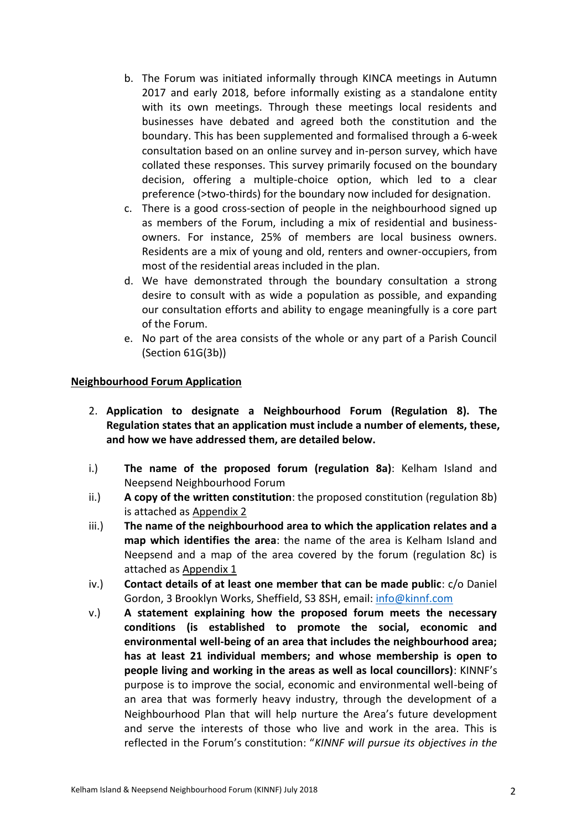- b. The Forum was initiated informally through KINCA meetings in Autumn 2017 and early 2018, before informally existing as a standalone entity with its own meetings. Through these meetings local residents and businesses have debated and agreed both the constitution and the boundary. This has been supplemented and formalised through a 6-week consultation based on an online survey and in-person survey, which have collated these responses. This survey primarily focused on the boundary decision, offering a multiple-choice option, which led to a clear preference (>two-thirds) for the boundary now included for designation.
- c. There is a good cross-section of people in the neighbourhood signed up as members of the Forum, including a mix of residential and businessowners. For instance, 25% of members are local business owners. Residents are a mix of young and old, renters and owner-occupiers, from most of the residential areas included in the plan.
- d. We have demonstrated through the boundary consultation a strong desire to consult with as wide a population as possible, and expanding our consultation efforts and ability to engage meaningfully is a core part of the Forum.
- e. No part of the area consists of the whole or any part of a Parish Council (Section 61G(3b))

## **Neighbourhood Forum Application**

- 2. **Application to designate a Neighbourhood Forum (Regulation 8). The Regulation states that an application must include a number of elements, these, and how we have addressed them, are detailed below.**
- i.) **The name of the proposed forum (regulation 8a)**: Kelham Island and Neepsend Neighbourhood Forum
- ii.) **A copy of the written constitution**: the proposed constitution (regulation 8b) is attached as Appendix 2
- iii.) **The name of the neighbourhood area to which the application relates and a map which identifies the area**: the name of the area is Kelham Island and Neepsend and a map of the area covered by the forum (regulation 8c) is attached as Appendix 1
- iv.) **Contact details of at least one member that can be made public**: c/o Daniel Gordon, 3 Brooklyn Works, Sheffield, S3 8SH, email: [info@kinnf.com](mailto:info@kinnf.com)
- v.) **A statement explaining how the proposed forum meets the necessary conditions (is established to promote the social, economic and environmental well-being of an area that includes the neighbourhood area; has at least 21 individual members; and whose membership is open to people living and working in the areas as well as local councillors)**: KINNF's purpose is to improve the social, economic and environmental well-being of an area that was formerly heavy industry, through the development of a Neighbourhood Plan that will help nurture the Area's future development and serve the interests of those who live and work in the area. This is reflected in the Forum's constitution: "*KINNF will pursue its objectives in the*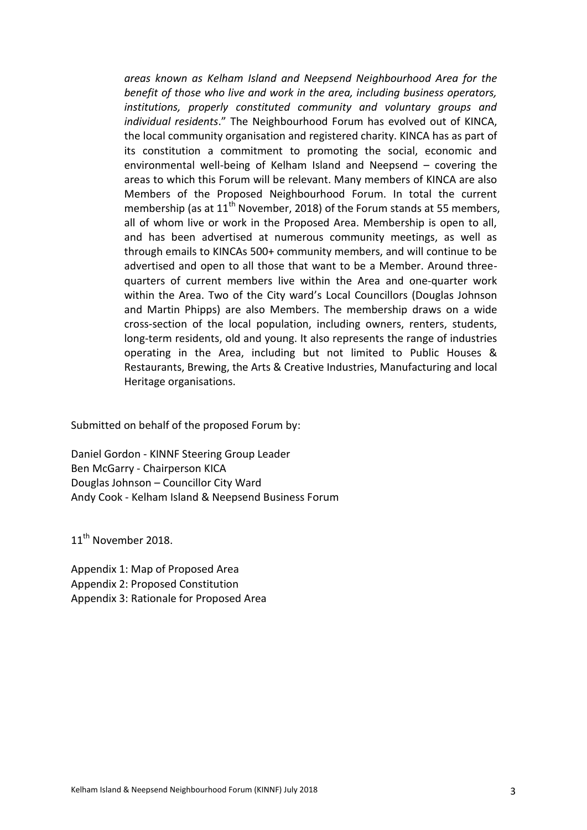*areas known as Kelham Island and Neepsend Neighbourhood Area for the benefit of those who live and work in the area, including business operators, institutions, properly constituted community and voluntary groups and individual residents*." The Neighbourhood Forum has evolved out of KINCA, the local community organisation and registered charity. KINCA has as part of its constitution a commitment to promoting the social, economic and environmental well-being of Kelham Island and Neepsend – covering the areas to which this Forum will be relevant. Many members of KINCA are also Members of the Proposed Neighbourhood Forum. In total the current membership (as at  $11<sup>th</sup>$  November, 2018) of the Forum stands at 55 members, all of whom live or work in the Proposed Area. Membership is open to all, and has been advertised at numerous community meetings, as well as through emails to KINCAs 500+ community members, and will continue to be advertised and open to all those that want to be a Member. Around threequarters of current members live within the Area and one-quarter work within the Area. Two of the City ward's Local Councillors (Douglas Johnson and Martin Phipps) are also Members. The membership draws on a wide cross-section of the local population, including owners, renters, students, long-term residents, old and young. It also represents the range of industries operating in the Area, including but not limited to Public Houses & Restaurants, Brewing, the Arts & Creative Industries, Manufacturing and local Heritage organisations.

Submitted on behalf of the proposed Forum by:

Daniel Gordon - KINNF Steering Group Leader Ben McGarry - Chairperson KICA Douglas Johnson – Councillor City Ward Andy Cook - Kelham Island & Neepsend Business Forum

11<sup>th</sup> November 2018.

Appendix 1: Map of Proposed Area Appendix 2: Proposed Constitution Appendix 3: Rationale for Proposed Area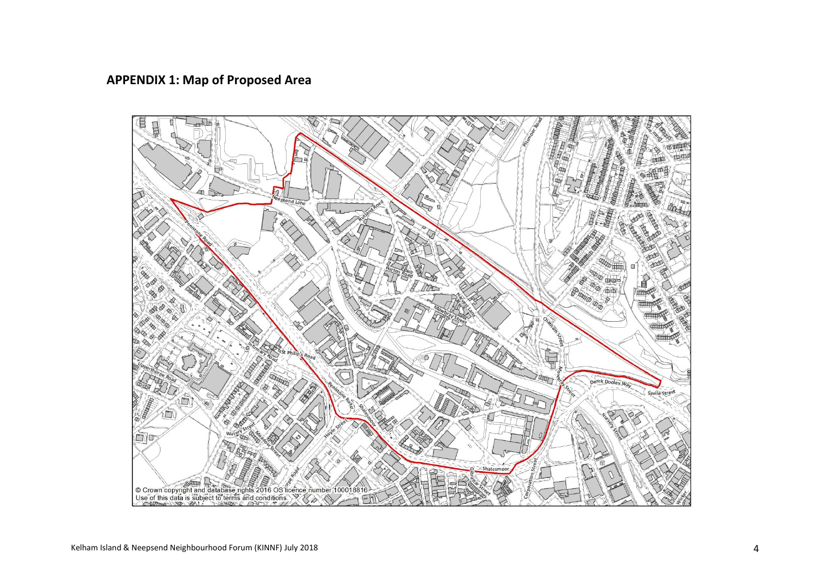# **APPENDIX 1: Map of Proposed Area**

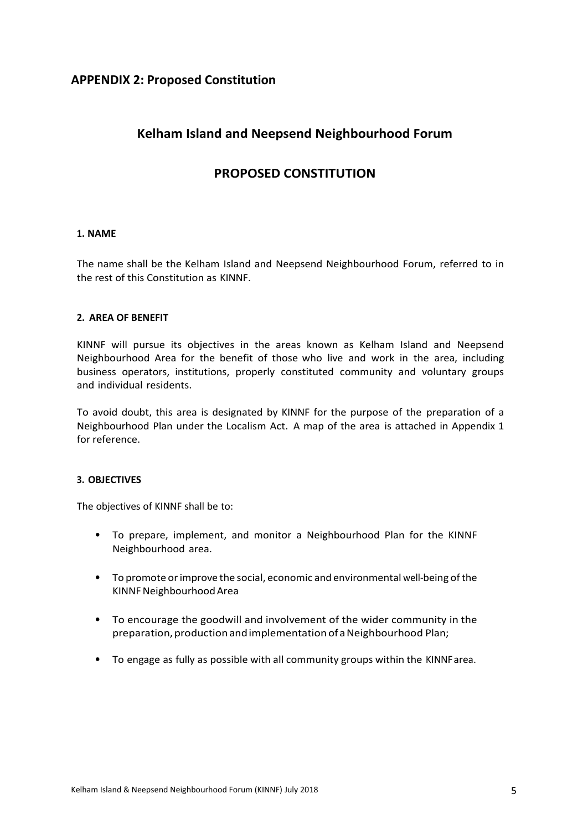## **APPENDIX 2: Proposed Constitution**

# **Kelham Island and Neepsend Neighbourhood Forum**

# **PROPOSED CONSTITUTION**

#### **1. NAME**

The name shall be the Kelham Island and Neepsend Neighbourhood Forum, referred to in the rest of this Constitution as KINNF.

#### **2. AREA OF BENEFIT**

KINNF will pursue its objectives in the areas known as Kelham Island and Neepsend Neighbourhood Area for the benefit of those who live and work in the area, including business operators, institutions, properly constituted community and voluntary groups and individual residents.

To avoid doubt, this area is designated by KINNF for the purpose of the preparation of a Neighbourhood Plan under the Localism Act. A map of the area is attached in Appendix 1 for reference.

#### **3. OBJECTIVES**

The objectives of KINNF shall be to:

- To prepare, implement, and monitor a Neighbourhood Plan for the KINNF Neighbourhood area.
- To promote orimprove the social, economic and environmental well-being ofthe KINNFNeighbourhoodArea
- To encourage the goodwill and involvement of the wider community in the preparation, production and implementation of a Neighbourhood Plan;
- To engage as fully as possible with all community groups within the KINNFarea.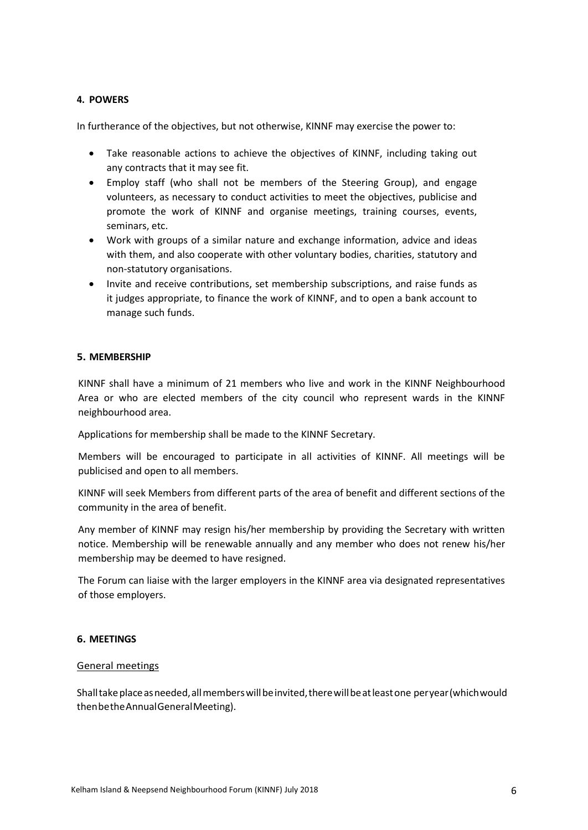## **4. POWERS**

In furtherance of the objectives, but not otherwise, KINNF may exercise the power to:

- Take reasonable actions to achieve the objectives of KINNF, including taking out any contracts that it may see fit.
- Employ staff (who shall not be members of the Steering Group), and engage volunteers, as necessary to conduct activities to meet the objectives, publicise and promote the work of KINNF and organise meetings, training courses, events, seminars, etc.
- Work with groups of a similar nature and exchange information, advice and ideas with them, and also cooperate with other voluntary bodies, charities, statutory and non-statutory organisations.
- Invite and receive contributions, set membership subscriptions, and raise funds as it judges appropriate, to finance the work of KINNF, and to open a bank account to manage such funds.

## **5. MEMBERSHIP**

KINNF shall have a minimum of 21 members who live and work in the KINNF Neighbourhood Area or who are elected members of the city council who represent wards in the KINNF neighbourhood area.

Applications for membership shall be made to the KINNF Secretary.

Members will be encouraged to participate in all activities of KINNF. All meetings will be publicised and open to all members.

KINNF will seek Members from different parts of the area of benefit and different sections of the community in the area of benefit.

Any member of KINNF may resign his/her membership by providing the Secretary with written notice. Membership will be renewable annually and any member who does not renew his/her membership may be deemed to have resigned.

The Forum can liaise with the larger employers in the KINNF area via designated representatives of those employers.

#### **6. MEETINGS**

#### General meetings

Shall take place as needed, all members will be invited, there will be at least one peryear (which would thenbetheAnnualGeneralMeeting).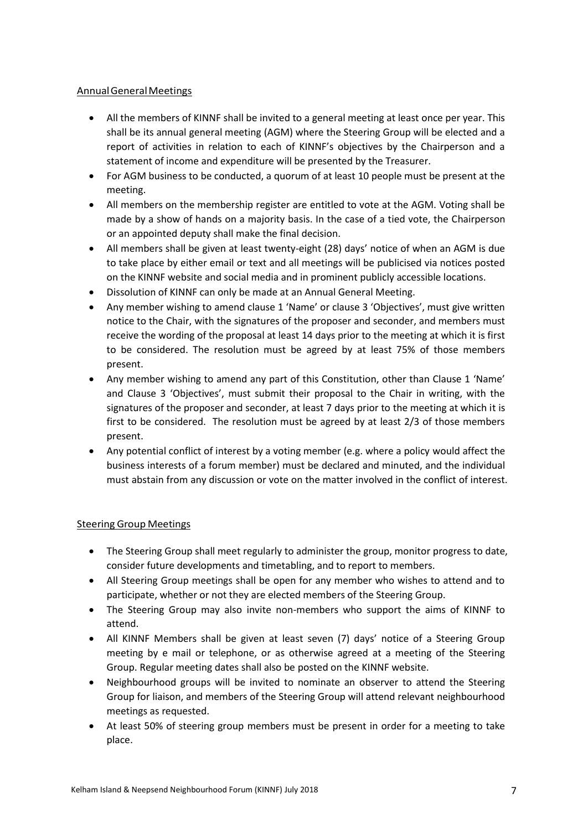## AnnualGeneralMeetings

- All the members of KINNF shall be invited to a general meeting at least once per year. This shall be its annual general meeting (AGM) where the Steering Group will be elected and a report of activities in relation to each of KINNF's objectives by the Chairperson and a statement of income and expenditure will be presented by the Treasurer.
- For AGM business to be conducted, a quorum of at least 10 people must be present at the meeting.
- All members on the membership register are entitled to vote at the AGM. Voting shall be made by a show of hands on a majority basis. In the case of a tied vote, the Chairperson or an appointed deputy shall make the final decision.
- All members shall be given at least twenty-eight (28) days' notice of when an AGM is due to take place by either email or text and all meetings will be publicised via notices posted on the KINNF website and social media and in prominent publicly accessible locations.
- Dissolution of KINNF can only be made at an Annual General Meeting.
- Any member wishing to amend clause 1 'Name' or clause 3 'Objectives', must give written notice to the Chair, with the signatures of the proposer and seconder, and members must receive the wording of the proposal at least 14 days prior to the meeting at which it is first to be considered. The resolution must be agreed by at least 75% of those members present.
- Any member wishing to amend any part of this Constitution, other than Clause 1 'Name' and Clause 3 'Objectives', must submit their proposal to the Chair in writing, with the signatures of the proposer and seconder, at least 7 days prior to the meeting at which it is first to be considered. The resolution must be agreed by at least 2/3 of those members present.
- Any potential conflict of interest by a voting member (e.g. where a policy would affect the business interests of a forum member) must be declared and minuted, and the individual must abstain from any discussion or vote on the matter involved in the conflict of interest.

## Steering Group Meetings

- The Steering Group shall meet regularly to administer the group, monitor progress to date, consider future developments and timetabling, and to report to members.
- All Steering Group meetings shall be open for any member who wishes to attend and to participate, whether or not they are elected members of the Steering Group.
- The Steering Group may also invite non-members who support the aims of KINNF to attend.
- All KINNF Members shall be given at least seven (7) days' notice of a Steering Group meeting by e mail or telephone, or as otherwise agreed at a meeting of the Steering Group. Regular meeting dates shall also be posted on the KINNF website.
- Neighbourhood groups will be invited to nominate an observer to attend the Steering Group for liaison, and members of the Steering Group will attend relevant neighbourhood meetings as requested.
- At least 50% of steering group members must be present in order for a meeting to take place.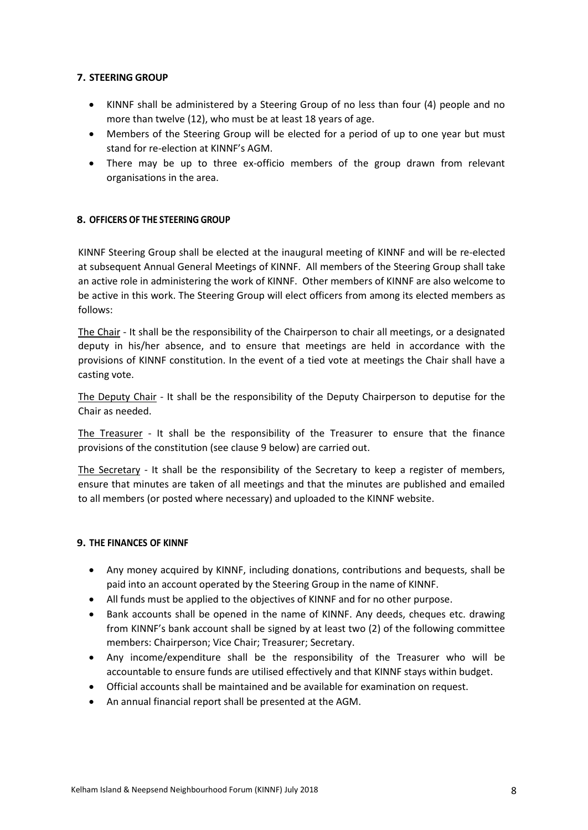## **7. STEERING GROUP**

- KINNF shall be administered by a Steering Group of no less than four (4) people and no more than twelve (12), who must be at least 18 years of age.
- Members of the Steering Group will be elected for a period of up to one year but must stand for re-election at KINNF's AGM.
- There may be up to three ex-officio members of the group drawn from relevant organisations in the area.

## **8. OFFICERS OF THE STEERING GROUP**

KINNF Steering Group shall be elected at the inaugural meeting of KINNF and will be re-elected at subsequent Annual General Meetings of KINNF. All members of the Steering Group shall take an active role in administering the work of KINNF. Other members of KINNF are also welcome to be active in this work. The Steering Group will elect officers from among its elected members as follows:

The Chair - It shall be the responsibility of the Chairperson to chair all meetings, or a designated deputy in his/her absence, and to ensure that meetings are held in accordance with the provisions of KINNF constitution. In the event of a tied vote at meetings the Chair shall have a casting vote.

The Deputy Chair - It shall be the responsibility of the Deputy Chairperson to deputise for the Chair as needed.

The Treasurer - It shall be the responsibility of the Treasurer to ensure that the finance provisions of the constitution (see clause 9 below) are carried out.

The Secretary - It shall be the responsibility of the Secretary to keep a register of members, ensure that minutes are taken of all meetings and that the minutes are published and emailed to all members (or posted where necessary) and uploaded to the KINNF website.

#### **9. THE FINANCES OF KINNF**

- Any money acquired by KINNF, including donations, contributions and bequests, shall be paid into an account operated by the Steering Group in the name of KINNF.
- All funds must be applied to the objectives of KINNF and for no other purpose.
- Bank accounts shall be opened in the name of KINNF. Any deeds, cheques etc. drawing from KINNF's bank account shall be signed by at least two (2) of the following committee members: Chairperson; Vice Chair; Treasurer; Secretary.
- Any income/expenditure shall be the responsibility of the Treasurer who will be accountable to ensure funds are utilised effectively and that KINNF stays within budget.
- Official accounts shall be maintained and be available for examination on request.
- An annual financial report shall be presented at the AGM.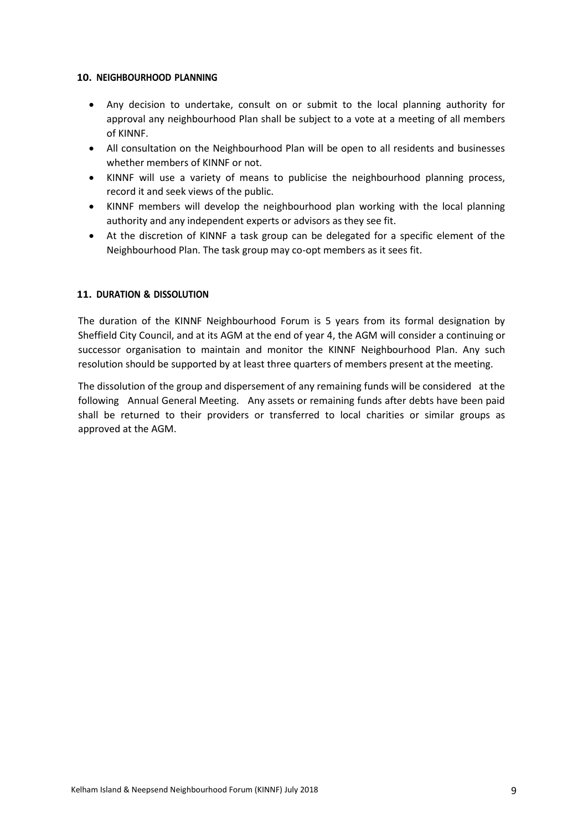#### **10. NEIGHBOURHOOD PLANNING**

- Any decision to undertake, consult on or submit to the local planning authority for approval any neighbourhood Plan shall be subject to a vote at a meeting of all members of KINNF.
- All consultation on the Neighbourhood Plan will be open to all residents and businesses whether members of KINNF or not.
- KINNF will use a variety of means to publicise the neighbourhood planning process, record it and seek views of the public.
- KINNF members will develop the neighbourhood plan working with the local planning authority and any independent experts or advisors as they see fit.
- At the discretion of KINNF a task group can be delegated for a specific element of the Neighbourhood Plan. The task group may co-opt members as it sees fit.

## **11. DURATION & DISSOLUTION**

The duration of the KINNF Neighbourhood Forum is 5 years from its formal designation by Sheffield City Council, and at its AGM at the end of year 4, the AGM will consider a continuing or successor organisation to maintain and monitor the KINNF Neighbourhood Plan. Any such resolution should be supported by at least three quarters of members present at the meeting.

The dissolution of the group and dispersement of any remaining funds will be considered at the following Annual General Meeting. Any assets or remaining funds after debts have been paid shall be returned to their providers or transferred to local charities or similar groups as approved at the AGM.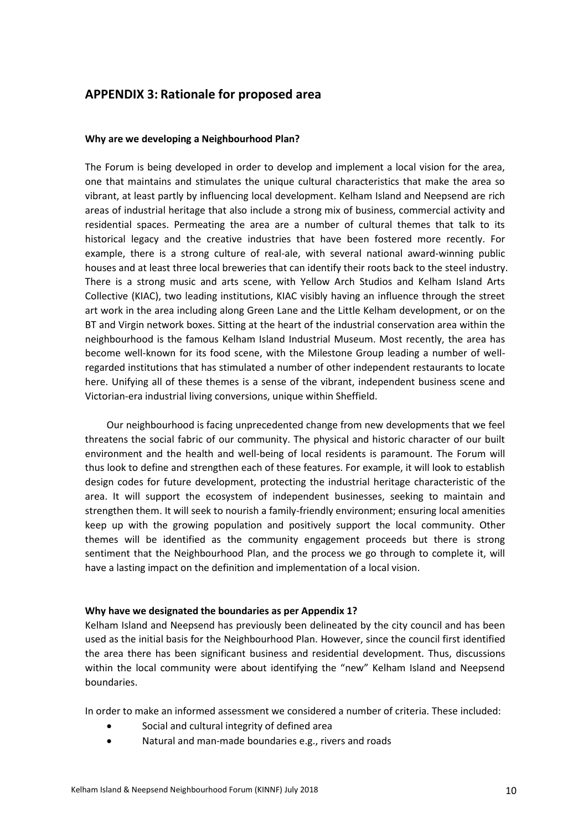## **APPENDIX 3: Rationale for proposed area**

#### **Why are we developing a Neighbourhood Plan?**

The Forum is being developed in order to develop and implement a local vision for the area, one that maintains and stimulates the unique cultural characteristics that make the area so vibrant, at least partly by influencing local development. Kelham Island and Neepsend are rich areas of industrial heritage that also include a strong mix of business, commercial activity and residential spaces. Permeating the area are a number of cultural themes that talk to its historical legacy and the creative industries that have been fostered more recently. For example, there is a strong culture of real-ale, with several national award-winning public houses and at least three local breweries that can identify their roots back to the steel industry. There is a strong music and arts scene, with Yellow Arch Studios and Kelham Island Arts Collective (KIAC), two leading institutions, KIAC visibly having an influence through the street art work in the area including along Green Lane and the Little Kelham development, or on the BT and Virgin network boxes. Sitting at the heart of the industrial conservation area within the neighbourhood is the famous Kelham Island Industrial Museum. Most recently, the area has become well-known for its food scene, with the Milestone Group leading a number of wellregarded institutions that has stimulated a number of other independent restaurants to locate here. Unifying all of these themes is a sense of the vibrant, independent business scene and Victorian-era industrial living conversions, unique within Sheffield.

Our neighbourhood is facing unprecedented change from new developments that we feel threatens the social fabric of our community. The physical and historic character of our built environment and the health and well-being of local residents is paramount. The Forum will thus look to define and strengthen each of these features. For example, it will look to establish design codes for future development, protecting the industrial heritage characteristic of the area. It will support the ecosystem of independent businesses, seeking to maintain and strengthen them. It will seek to nourish a family-friendly environment; ensuring local amenities keep up with the growing population and positively support the local community. Other themes will be identified as the community engagement proceeds but there is strong sentiment that the Neighbourhood Plan, and the process we go through to complete it, will have a lasting impact on the definition and implementation of a local vision.

#### **Why have we designated the boundaries as per Appendix 1?**

Kelham Island and Neepsend has previously been delineated by the city council and has been used as the initial basis for the Neighbourhood Plan. However, since the council first identified the area there has been significant business and residential development. Thus, discussions within the local community were about identifying the "new" Kelham Island and Neepsend boundaries.

In order to make an informed assessment we considered a number of criteria. These included:

- Social and cultural integrity of defined area
- Natural and man-made boundaries e.g., rivers and roads